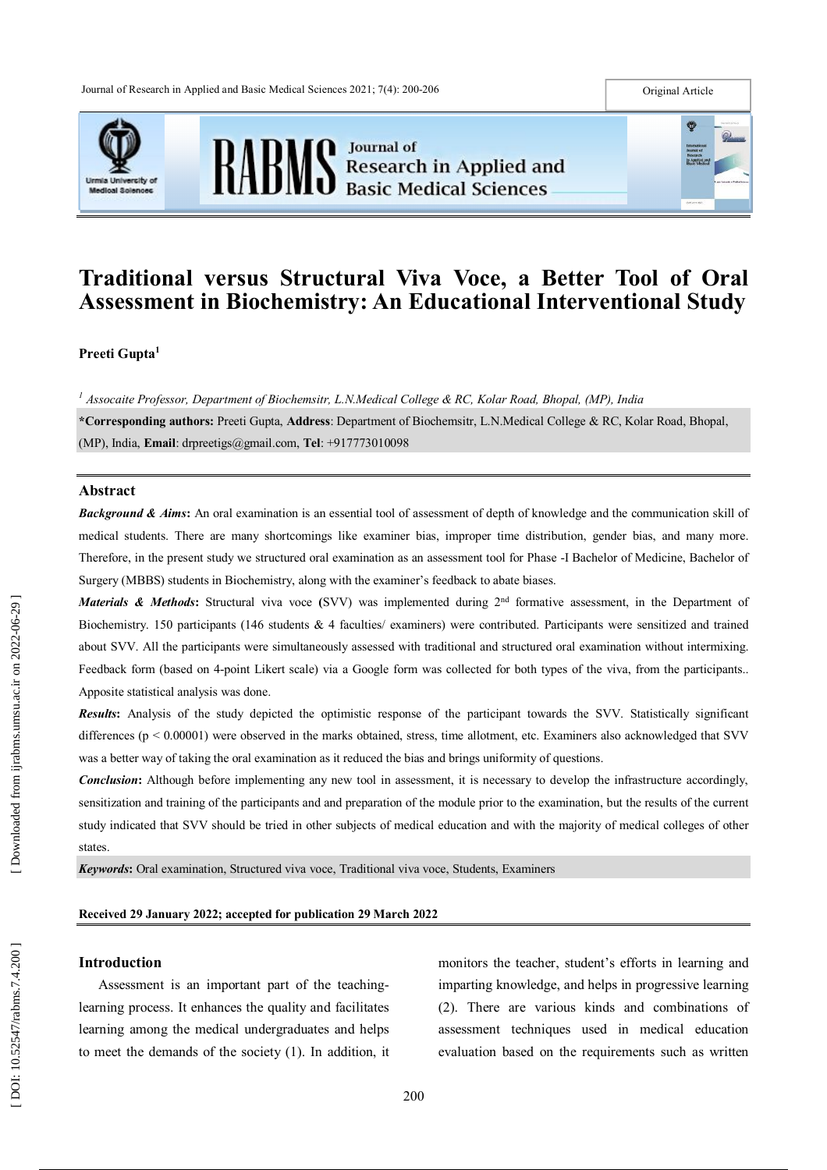



#### Original Article



# **Traditional versus Structural Viva Voce, a Better Tool of Oral Assessment in Biochemistry: An Educational Interventional Study**

**Preeti Gupta 1**

*<sup>1</sup> Assocaite Professor, Department of Biochemsitr, L.N.Medical College & RC, Kolar Road, Bhopal, (MP), India* **\*Corresponding authors :** Preeti Gupta, **Address** : Department of Biochemsitr, L.N.Medical College & RC, Kolar Road, Bhopal, (MP), India , **Email** : drpreetigs@gmail.com, **Tel**: + 9 17773010098

### **Abstract**

**Background & Aims:** An oral examination is an essential tool of assessment of depth of knowledge and the communication skill of medical students. There are many shortcomings like examiner bias, improper time distribution, gender bias, and many more. Therefore, in the present study we structured oral examination as an assessment tool for Phase -I Bachelor of Medicine, Bachelor of Surgery (MBBS) students in Biochemistry, along with the examiner's feedback to abate biases .

*Materials & Methods*: Structural viva voce (SVV) was implemented during 2<sup>nd</sup> formative assessment, in the Department of Biochemistry. 150 participants (146 students & 4 faculties/ examiners) were contributed. Participants were sensitized and trained about SVV. All the participants were simultaneously assessed with traditional and structured oral examination without intermixing. Feedback form (based on 4-point Likert scale) via a Google form was collected for both types of the viva, from the participants.. Apposite statistical analysis was done.

*Results* **:** Analysis of the study depicted the optimistic response of the participant towards the SVV. Statistically significant differences (p < 0.00001) were observed in the marks obtained, stress, time allotment, etc. Examiners also acknowledged that SVV was a better way of taking the oral examination as it reduced the bias and brings uniformity of questions.

*Conclusion*: Although before implementing any new tool in assessment, it is necessary to develop the infrastructure accordingly, sensitization and training of the participants and and preparation of the module prior to the examination, but the results of the current study indicated that SVV should be tried in other subjects of medical education and with the majority of medical colleges of other states.

*Keywords***:** Oral examination, Structured viva voce, Traditional viva voce, Students, Examiners

#### **Received 2 9 January 2022 ; accepted for publication 2 9 March 2022**

### **Introduction**

Assessment is an important part of the teaching learning process. It enhances the quality and facilitates learning among the medical undergraduates and helps to meet the demands of the society (1). In addition, it monitors the teacher, student's efforts in learning and imparting knowledge, and helps in progressive learning (2). There are various kinds and combinations of assessment techniques used in medical education evaluation based on the requirements such as written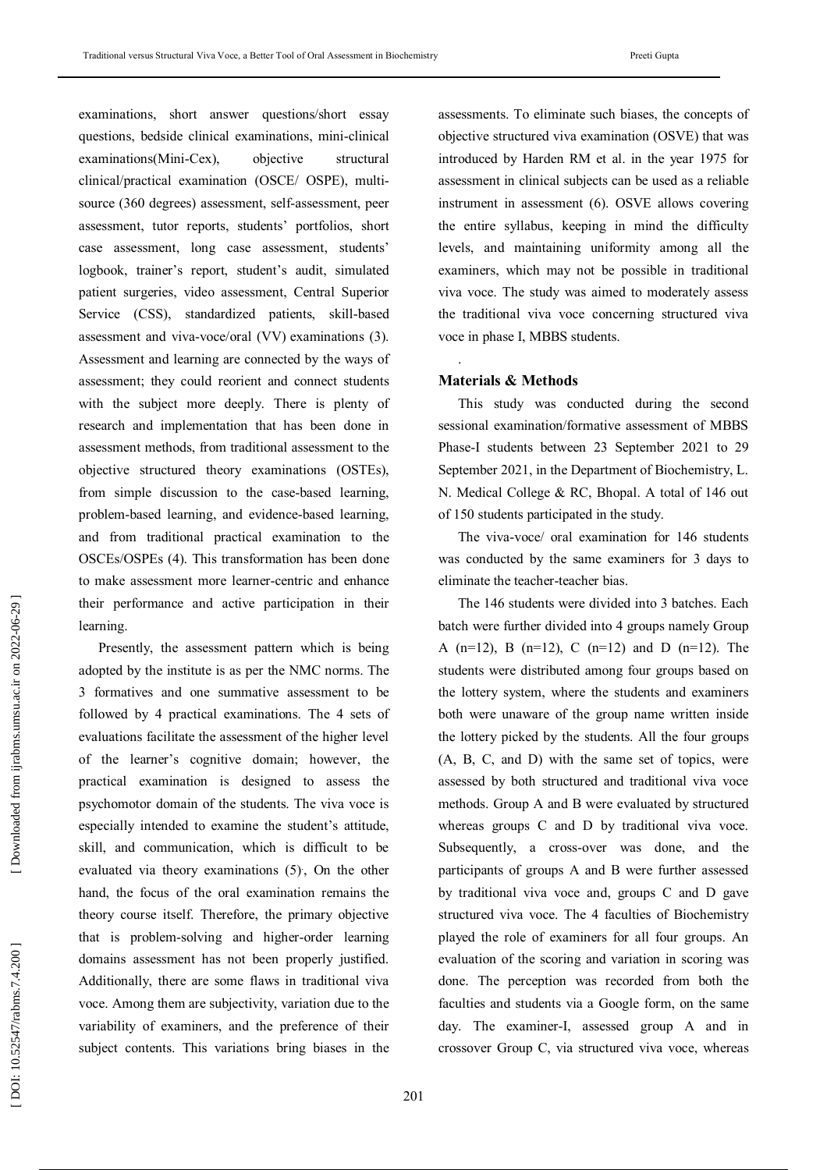examinations, short answer questions/short essay questions, bedside clinical examinations, mini -clinical examinations(Mini-Cex), objective structural clinical/practical examination (OSCE/ OSPE), multi source (360 degrees) assessment, self-assessment, peer assessment, tutor reports, students' portfolios, short case assessment, long case assessment, students' logbook, trainer's report, student's audit, simulated patient surgeries, video assessment, Central Superior Service (CSS), standardized patients, skill -based assessment and viva -voce/oral (VV) examinations (3). Assessment and learning are connected by the ways of assessment; they could reorient and connect students with the subject more deeply. There is plenty of research and implementation that has been done in assessment methods, from traditional assessment to the objective structured theory examinations (OSTEs), from simple discussion to the case-based learning, problem -based learning, and evidence -based learning, and from traditional practical examination to the OSCEs/OSPEs (4). This transformation has been done to make assessment more learner -centric and enhance their performance and active participation in their learning.

Presently, the assessment pattern which is being adopted by the institute is as per the NMC norms. The 3 formatives and one summative assessment to be followed by 4 practical examinations. The 4 sets of evaluations facilitate the assessment of the higher level of the learner's cognitive domain; however, the practical examination is designed to assess the psychomotor domain of the students. The viva voce is especially intended to examine the student's attitude, skill, and communication, which is difficult to be evaluated via theory examinations (5), On the other hand, the focus of the oral examination remains the theory course itself. Therefore, the primary objective that is problem -solving and higher -order learning domains assessment has not been properly justified. Additionally, there are some flaws in traditional viva voce. Among them are subjectivity, variation due to the variability of examiners, and the preference of their subject contents. This variations bring biases in the

assessments. To eliminate such biases, the concepts of objective structured viva examination (OSVE) that was introduced by Harden RM et al. in the year 1975 for assessment in clinical subjects can be used as a reliable instrument in assessment (6). OSVE allows covering the entire syllabus, keeping in mind the difficulty levels, and maintaining uniformity among all the examiners, which may not be possible in traditional viva voce. The study was aimed to moderately assess the traditional viva voce concerning structured viva voce in phase I, MBBS students.

### **Materials & Methods**

.

This study was conducted during the second sessional examination/formative assessment of MBBS Phase -I students between 23 September 2021 to 29 September 2021, in the Department of Biochemistry, L. N. Medical College & RC, Bhopal. A total of 146 out of 150 students participated in the study.

The viva -voce/ oral examination for 146 students was conducted by the same examiners for 3 days to eliminate the teacher -teacher bias.

The 146 students were divided into 3 batches. Each batch were further divided into 4 groups namely Group A  $(n=12)$ , B  $(n=12)$ , C  $(n=12)$  and D  $(n=12)$ . The students were distributed among four groups based on the lottery system, where the students and examiners both were unaware of the group name written inside the lottery picked by the students. All the four groups (A, B, C, and D) with the same set of topics, were assessed by both structured and traditional viva voce methods. Group A and B were evaluated by structured whereas groups C and D by traditional viva voce. Subsequently, a cross -over was done, and the participants of groups A and B were further assessed by traditional viva voce and, groups C and D gave structured viva voce. The 4 faculties of Biochemistry played the role of examiners for all four groups. An evaluation of the scoring and variation in scoring was done. The perception was recorded from both the faculties and students via a Google form, on the same day. The examiner -I, assessed group A and in crossover Group C, via structured viva voce, whereas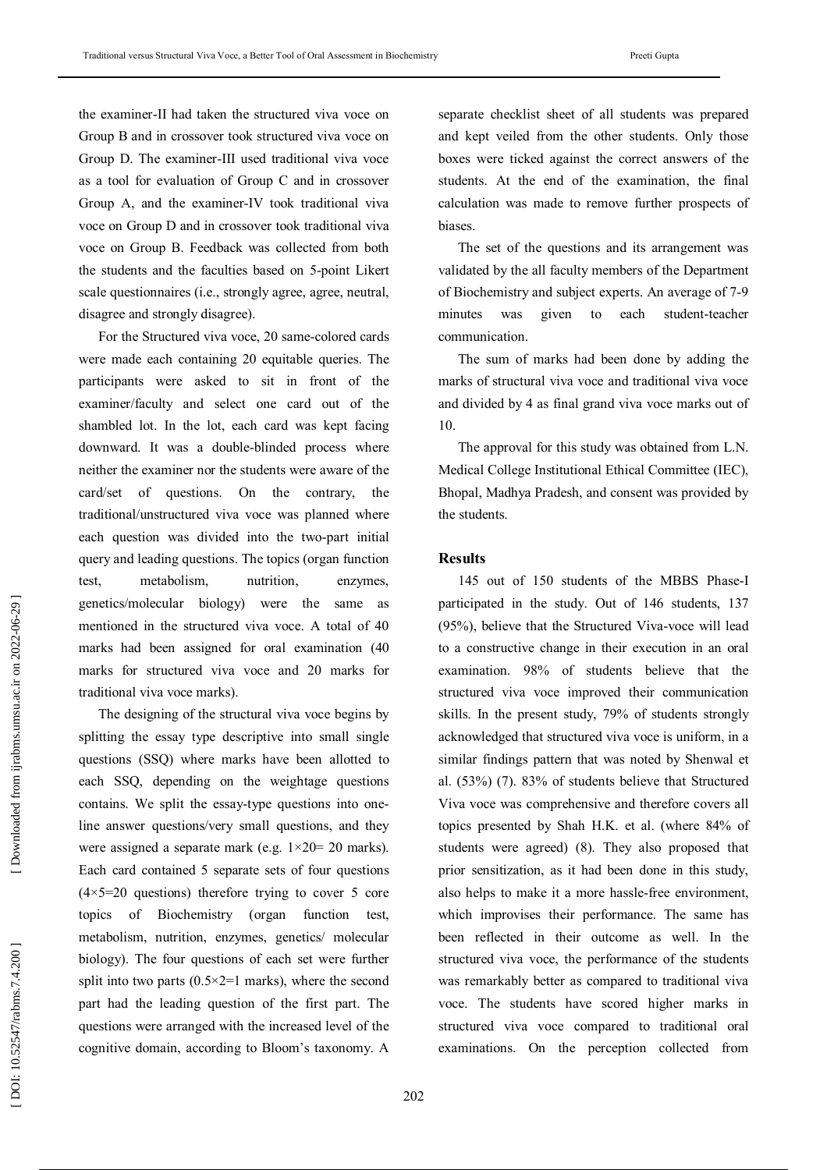the examiner -II had taken the structured viva voce on Group B and in crossover took structured viva voce on Group D. The examiner -III used traditional viva voce as a tool for evaluation of Group C and in crossover Group A, and the examiner -IV took traditional viva voce on Group D and in crossover took traditional viva voce on Group B. Feedback was collected from both the students and the faculties based on 5 -point Likert scale questionnaires (i.e., strongly agree, agree, neutral, disagree and strongly disagree).

For the Structured viva voce, 20 same -colored cards were made each containing 20 equitable queries. The participants were asked to sit in front of the examiner/faculty and select one card out of the shambled lot. In the lot, each card was kept facing downward. It was a double -blinded process where neither the examiner nor the students were aware of the card/set of questions. On the contrary, the traditional/unstructured viva voce was planned where each question was divided into the two -part initial query and leading questions. The topics (organ function test, metabolism, nutrition, enzymes, genetics/molecular biology) were the same as mentioned in the structured viva voce. A total of 40 marks had been assigned for oral examination (40 marks for structured viva voce and 20 marks for traditional viva voce marks).

The designing of the structural viva voce begins by splitting the essay type descriptive into small single questions (SSQ) where marks have been allotted to each SSQ, depending on the weightage questions contains. We split the essay -type questions into one line answer questions/very small questions, and they were assigned a separate mark (e.g.  $1 \times 20 = 20$  marks). Each card contained 5 separate sets of four questions  $(4\times5=20$  questions) therefore trying to cover 5 core topics of Biochemistry (organ function test, metabolism, nutrition, enzymes, genetics/ molecular biology). The four questions of each set were further split into two parts  $(0.5 \times 2=1$  marks), where the second part had the leading question of the first part. The questions were arranged with the increased level of the cognitive domain, according to Bloom's taxonomy. A

separate checklist sheet of all students was prepared and kept veiled from the other students. Only those boxes were ticked against the correct answers of the students. At the end of the examination, the final calculation was made to remove further prospects of biases.

The set of the questions and its arrangement was validated by the all faculty members of the Department of Biochemistry and subject experts. An average of 7 -9 minutes was given to each student -teacher communication.

The sum of marks had been done by adding the marks of structural viva voce and traditional viva voce and divided by 4 as final grand viva voce marks out of 10.

The approval for this study was obtained from L.N. Medical College Institutional Ethical Committee (IEC), Bhopal, Madhya Pradesh, and consent was provided by the students.

### **Results**

145 out of 150 students of the MBBS Phase - I participated in the study. Out of 146 students, 137 (95%), believe that the Structured Viva -voce will lead to a constructive change in their execution in an oral examination. 98% of students believe that the structured viva voce improved their communication skills. In the present study, 79 % of students strongly acknowledged that structured viva voce is uniform, in a similar findings pattern that was noted by Shenwal et al. (53%) (7). 83% of students believe that Structured Viva voce was comprehensive and therefore covers all topics presented by Shah H.K. et al. (where 84% of students were agreed) (8). They also proposed that prior sensitization, as it had been done in this study, also helps to make it a more hassle -free environment, which improvises their performance. The same has been reflected in their outcome as well. In the structured viva voce, the performance of the students was remarkably better as compared to traditional viva voce. The students have scored higher marks in structured viva voce compared to traditional oral examinations. On the perception collected from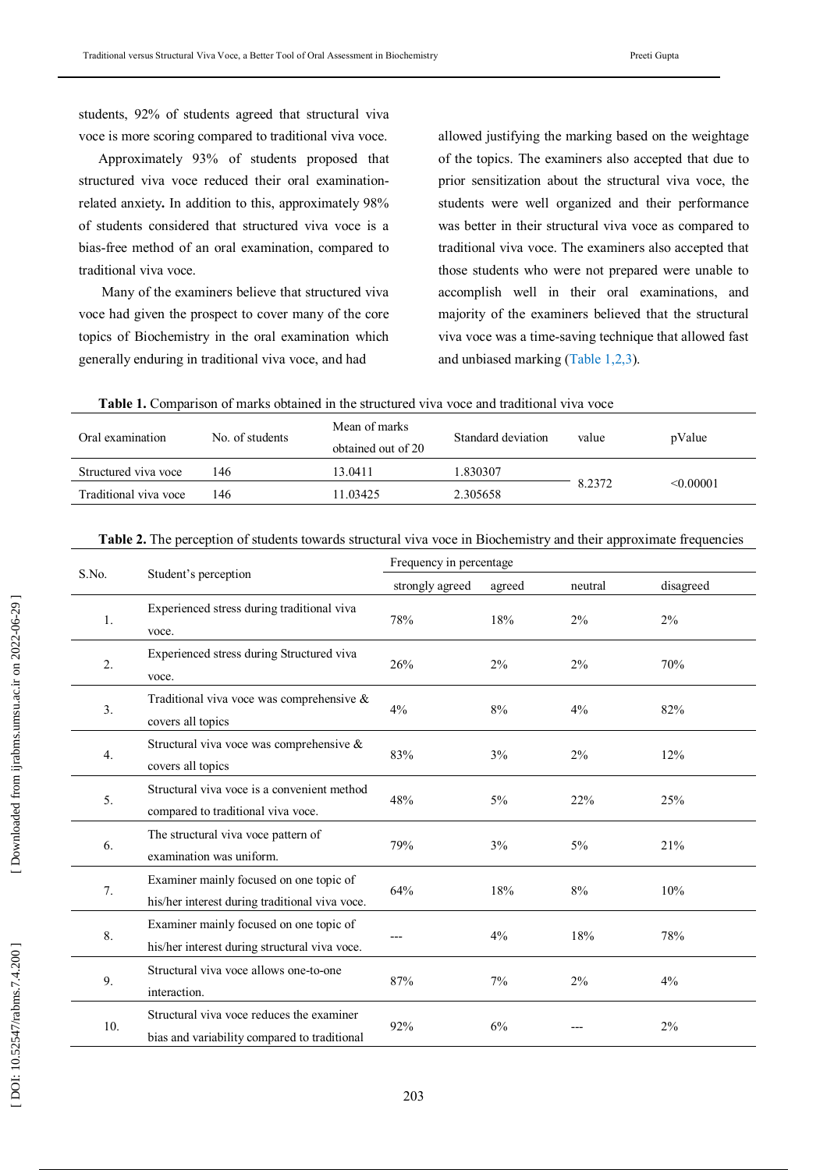students, 92% of students agreed that structural viva voce is more scoring compared to traditional viva voce.

Approximately 93% of students proposed that structured viva voce reduced their oral examination related anxiety**.** In addition to this, approximately 98% of students considered that structured viva voce is a bias -free method of an oral examination, compared to traditional viva voce.

Many of the examiners believe that structured viva voce had given the prospect to cover many of the core topics of Biochemistry in the oral examination which generally enduring in traditional viva voce, and had

allowed justifying the marking based on the weightage of the topics. The examiners also accepted that due to prior sensitization about the structural viva voce, the students were well organized and their performance was better in their structural viva voce as compared to traditional viva voce. The examiners also accepted that those students who were not prepared were unable to accomplish well in their oral examinations, and majority of the examiners believed that the structural viva voce was a time -saving technique that allowed fast and unbiased marking (Table 1,2,3 ) .

|  | <b>Table 1.</b> Comparison of marks obtained in the structured viva voce and traditional viva voce |  |  |  |  |  |  |  |  |  |
|--|----------------------------------------------------------------------------------------------------|--|--|--|--|--|--|--|--|--|
|--|----------------------------------------------------------------------------------------------------|--|--|--|--|--|--|--|--|--|

| Oral examination      | No. of students | Mean of marks<br>obtained out of 20 | Standard deviation | value  | pValue    |
|-----------------------|-----------------|-------------------------------------|--------------------|--------|-----------|
| Structured viva voce  | 146             | 13.0411                             | 1.830307           |        |           |
| Traditional viva voce | 146             | 1.03425                             | 2.305658           | 8.2372 | < 0.00001 |

| <b>Table 2.</b> The perception of students towards structural viva voce in Biochemistry and their approximate frequencies |  |  |  |  |
|---------------------------------------------------------------------------------------------------------------------------|--|--|--|--|
|                                                                                                                           |  |  |  |  |
|                                                                                                                           |  |  |  |  |
|                                                                                                                           |  |  |  |  |

| S.No.            |                                                                                           | Frequency in percentage |        |         |           |  |  |
|------------------|-------------------------------------------------------------------------------------------|-------------------------|--------|---------|-----------|--|--|
|                  | Student's perception                                                                      | strongly agreed         | agreed | neutral | disagreed |  |  |
| 1.               | Experienced stress during traditional viva<br>voce.                                       | 78%                     | 18%    | 2%      | 2%        |  |  |
| $\overline{2}$ . | Experienced stress during Structured viva<br>voce.                                        | 26%                     | 2%     | 2%      | 70%       |  |  |
| $\overline{3}$ . | Traditional viva voce was comprehensive $\&$<br>covers all topics                         | 4%                      | 8%     | 4%      | 82%       |  |  |
| $\overline{4}$ . | Structural viva voce was comprehensive $\&$<br>covers all topics                          | 83%                     | 3%     | 2%      | 12%       |  |  |
| 5.               | Structural viva voce is a convenient method<br>compared to traditional viva voce.         | 48%                     | $5\%$  | 22%     | 25%       |  |  |
| 6.               | The structural viva voce pattern of<br>examination was uniform.                           | 79%                     | 3%     | 5%      | 21%       |  |  |
| 7.               | Examiner mainly focused on one topic of<br>his/her interest during traditional viva voce. | 64%                     | 18%    | 8%      | 10%       |  |  |
| 8.               | Examiner mainly focused on one topic of<br>his/her interest during structural viva voce.  |                         | 4%     | 18%     | 78%       |  |  |
| 9.               | Structural viva voce allows one-to-one<br>interaction.                                    | 87%                     | 7%     | 2%      | 4%        |  |  |
| 10.              | Structural viva voce reduces the examiner<br>bias and variability compared to traditional | 92%                     | 6%     |         | 2%        |  |  |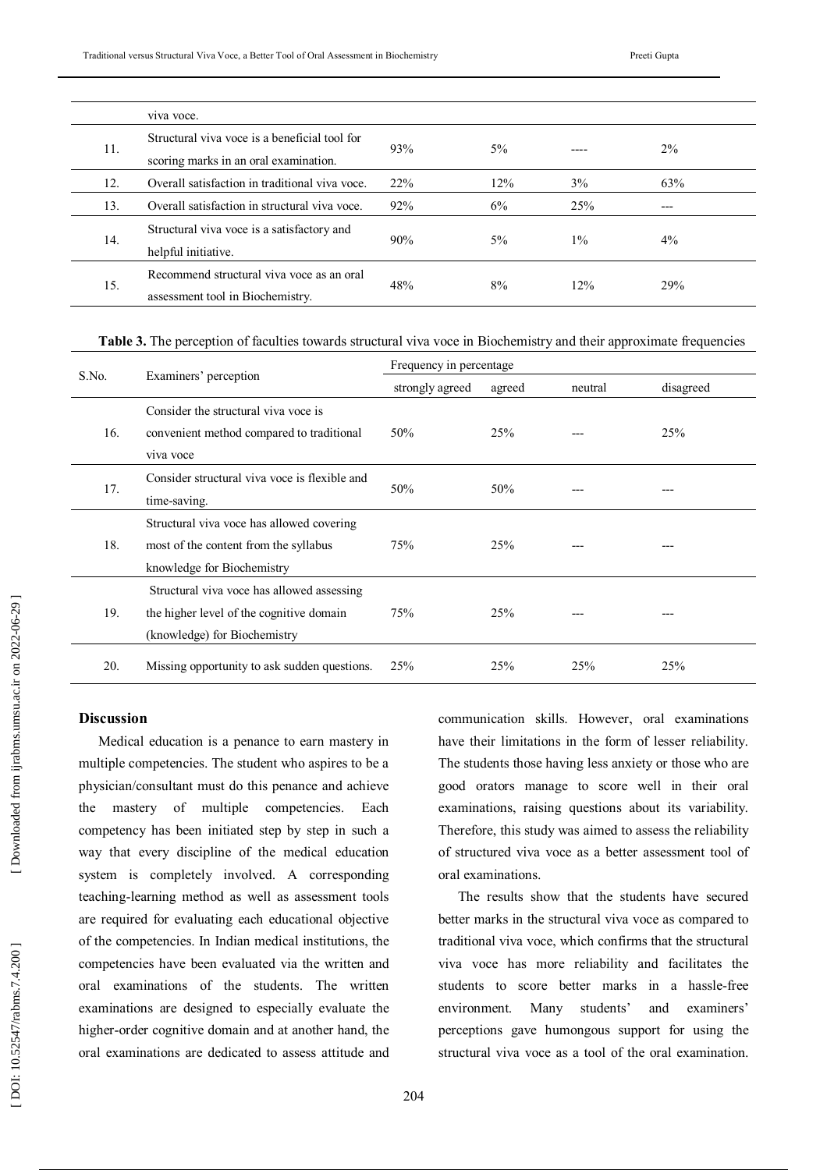|     | viva voce.                                                                             |     |     |       |       |  |
|-----|----------------------------------------------------------------------------------------|-----|-----|-------|-------|--|
| 11. | Structural viva voce is a beneficial tool for<br>scoring marks in an oral examination. | 93% | 5%  |       | $2\%$ |  |
| 12. | Overall satisfaction in traditional viva voce.                                         | 22% | 12% | 3%    | 63%   |  |
| 13. | Overall satisfaction in structural viva voce.                                          | 92% | 6%  | 25%   | ---   |  |
| 14. | Structural viva voce is a satisfactory and<br>helpful initiative.                      | 90% | 5%  | $1\%$ | $4\%$ |  |
| 15. | Recommend structural viva voce as an oral<br>assessment tool in Biochemistry.          | 48% | 8%  | 12%   | 29%   |  |

**Table 3.** The perception of faculties towards structural viva voce in Biochemistry and their approximate frequencies

|       |                                               | Frequency in percentage |            |         |           |  |  |
|-------|-----------------------------------------------|-------------------------|------------|---------|-----------|--|--|
| S.No. | Examiners' perception                         | strongly agreed         | agreed     | neutral | disagreed |  |  |
|       | Consider the structural viva voce is          |                         |            |         |           |  |  |
| 16.   | convenient method compared to traditional     | 50%                     | 25%        |         | 25%       |  |  |
|       | viva voce                                     |                         |            |         |           |  |  |
|       | Consider structural viva voce is flexible and |                         |            |         |           |  |  |
| 17.   | time-saving.                                  | 50%                     | 50%        |         |           |  |  |
|       | Structural viva voce has allowed covering     |                         |            |         |           |  |  |
| 18.   | most of the content from the syllabus         | 75%                     | <b>25%</b> |         |           |  |  |
|       | knowledge for Biochemistry                    |                         |            |         |           |  |  |
| 19.   | Structural viva voce has allowed assessing    |                         |            |         |           |  |  |
|       | the higher level of the cognitive domain      | 75%                     | <b>25%</b> |         |           |  |  |
|       | (knowledge) for Biochemistry                  |                         |            |         |           |  |  |
| 20.   | Missing opportunity to ask sudden questions.  | 25%                     | 25%        | 25%     | 25%       |  |  |

# **Discussion**

Medical education is a penance to earn mastery in multiple competencies. The student who aspires to be a physician/consultant must do this penance and achieve the mastery of multiple competencies. Each competency has been initiated step by step in such a way that every discipline of the medical education system is completely involved. A corresponding teaching -learning method as well as assessment tools are required for evaluating each educational objective of the competencies. In Indian medical institutions, the competencies have been evaluated via the written and oral examinations of the students. The written examinations are designed to especially evaluate the higher -order cognitive domain and at another hand, the oral examinations are dedicated to assess attitude and

communication skills. However, oral examinations have their limitations in the form of lesser reliability. The students those having less anxiety or those who are good orators manage to score well in their oral examinations, raising questions about its variability. Therefore, this study was aimed to assess the reliability of structured viva voce as a better assessment tool of oral examinations.

The results show that the students have secured better marks in the structural viva voce as compared to traditional viva voce, which confirms that the structural viva voce has more reliability and facilitates the students to score better marks in a hassle-free environment. Many students' and examiners' perceptions gave humongous support for using the structural viva voce as a tool of the oral examination.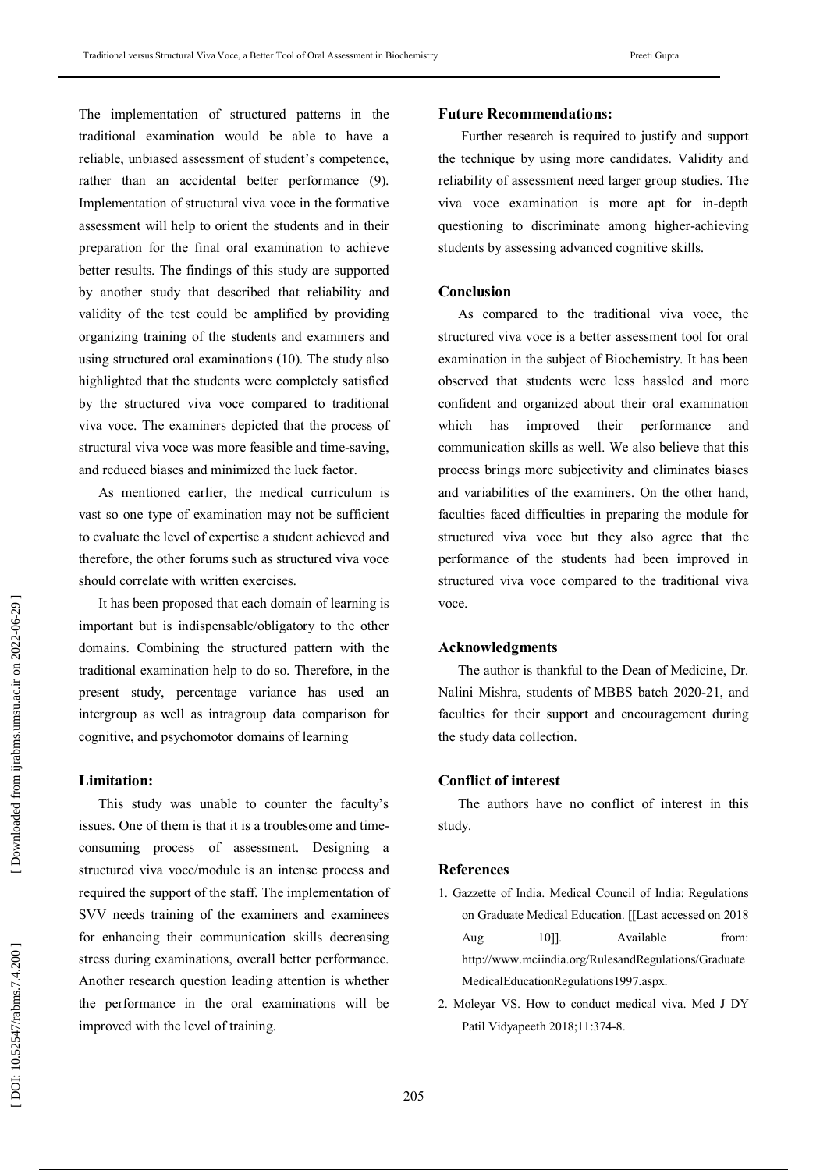The implementation of structured patterns in the traditional examination would be able to have a reliable, unbiased assessment of student's competence, rather than an accidental better performance (9). Implementation of structural viva voce in the formative assessment will help to orient the students and in their preparation for the final oral examination to achieve better results. The findings of this study are supported by another study that described that reliability and validity of the test could be amplified by providing organizing training of the students and examiners and using structured oral examinations (10). The study also highlighted that the students were completely satisfied by the structured viva voce compared to traditional viva voce. The examiners depicted that the process of structural viva voce was more feasible and time -saving, and reduced biases and minimized the luck factor.

As mentioned earlier, the medical curriculum is vast so one type of examination may not be sufficient to evaluate the level of expertise a student achieved and therefore, the other forums such as structured viva voce should correlate with written exercises.

It has been proposed that each domain of learning is important but is indispensable/obligatory to the other domains. Combining the structured pattern with the traditional examination help to do so. Therefore, in the present study, percentage variance has used an intergroup as well as intragroup data comparison for cognitive, and psychomotor domains of learning

### **Limitation :**

This study was unable to counter the faculty's issues. One of them is that it is a troublesome and timeconsuming process of assessment. Designing a structured viva voce/module is an intense process and required the support of the staff. The implementation of SVV needs training of the examiners and examinees for enhancing their communication skills decreasing stress during examinations, overall better performance. Another research question leading attention is whether the performance in the oral examinations will be improved with the level of training.

### **Future Recommendations :**

Further research is required to justify and support the technique by using more candidates. Validity and reliability of assessment need larger group studies. The viva voce examination is more apt for in -depth questioning to discriminate among higher -achieving students by assessing advanced cognitive skills.

### **Conclusion**

As compared to the traditional viva voce, the structured viva voce is a better assessment tool for oral examination in the subject of Biochemistry. It has been observed that students were less hassled and more confident and organized about their oral examination which has improved their performance and communication skills as well. We also believe that this process brings more subjectivity and eliminates biases and variabilities of the examiners. On the other hand, faculties faced difficulties in preparing the module for structured viva voce but they also agree that the performance of the students had been improved in structured viva voce compared to the traditional viva voce.

### **Acknowledgments**

The author is thankful to the Dean of Medicine, Dr. Nalini Mishra, students of MBBS batch 2020 -21, and faculties for their support and encouragement during the study data collection.

## **Conflict of interest**

The authors have no conflict of interest in this study.

#### **References**

- 1. Gazzette of India. Medical Council of India: Regulations on Graduate Medical Education. [[Last accessed on 2018 Aug 1011. Available from: http://www.mciindia.org/RulesandRegulations/Graduate MedicalEducationRegulations1997.aspx.
- 2. Moleyar VS. How to conduct medical viva. Med J DY Patil Vidyapeeth 2018;11:374 -8.